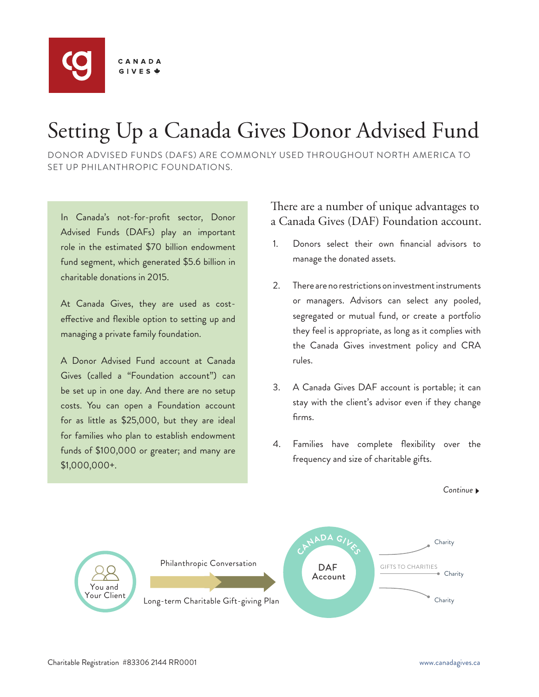

# Setting Up a Canada Gives Donor Advised Fund

DONOR ADVISED FUNDS (DAFS) ARE COMMONLY USED THROUGHOUT NORTH AMERICA TO SET UP PHILANTHROPIC FOUNDATIONS.

In Canada's not-for-profit sector, Donor Advised Funds (DAFs) play an important role in the estimated \$70 billion endowment fund segment, which generated \$5.6 billion in charitable donations in 2015.

At Canada Gives, they are used as costeffective and flexible option to setting up and managing a private family foundation.

A Donor Advised Fund account at Canada Gives (called a "Foundation account") can be set up in one day. And there are no setup costs. You can open a Foundation account for as little as \$25,000, but they are ideal for families who plan to establish endowment funds of \$100,000 or greater; and many are \$1,000,000+.

### There are a number of unique advantages to a Canada Gives (DAF) Foundation account.

- 1. Donors select their own financial advisors to manage the donated assets.
- 2. There are no restrictions on investment instruments or managers. Advisors can select any pooled, segregated or mutual fund, or create a portfolio they feel is appropriate, as long as it complies with the Canada Gives investment policy and CRA rules.
- 3. A Canada Gives DAF account is portable; it can stay with the client's advisor even if they change firms.
- 4. Families have complete flexibility over the frequency and size of charitable gifts.

*Continue*